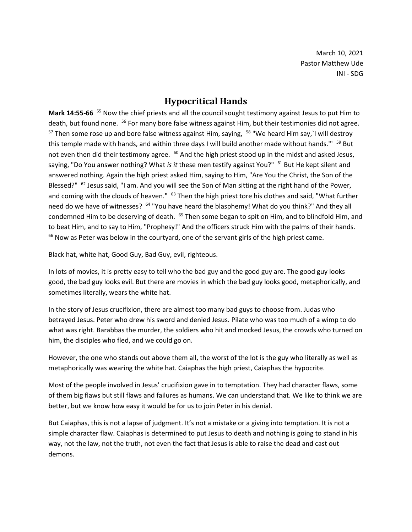March 10, 2021 Pastor Matthew Ude INI - SDG

## **Hypocritical Hands**

Mark 14:55-66 <sup>55</sup> Now the chief priests and all the council sought testimony against Jesus to put Him to death, but found none. <sup>56</sup> For many bore false witness against Him, but their testimonies did not agree.  $57$  Then some rose up and bore false witness against Him, saying,  $58$  "We heard Him say, I will destroy this temple made with hands, and within three days I will build another made without hands."" <sup>59</sup> But not even then did their testimony agree. <sup>60</sup> And the high priest stood up in the midst and asked Jesus, saying, "Do You answer nothing? What *is it* these men testify against You?" <sup>61</sup> But He kept silent and answered nothing. Again the high priest asked Him, saying to Him, "Are You the Christ, the Son of the Blessed?" <sup>62</sup> Jesus said, "I am. And you will see the Son of Man sitting at the right hand of the Power, and coming with the clouds of heaven." <sup>63</sup> Then the high priest tore his clothes and said, "What further need do we have of witnesses? <sup>64</sup> "You have heard the blasphemy! What do you think?" And they all condemned Him to be deserving of death.  $^{65}$  Then some began to spit on Him, and to blindfold Him, and to beat Him, and to say to Him, "Prophesy!" And the officers struck Him with the palms of their hands.  $66$  Now as Peter was below in the courtyard, one of the servant girls of the high priest came.

Black hat, white hat, Good Guy, Bad Guy, evil, righteous.

In lots of movies, it is pretty easy to tell who the bad guy and the good guy are. The good guy looks good, the bad guy looks evil. But there are movies in which the bad guy looks good, metaphorically, and sometimes literally, wears the white hat.

In the story of Jesus crucifixion, there are almost too many bad guys to choose from. Judas who betrayed Jesus. Peter who drew his sword and denied Jesus. Pilate who was too much of a wimp to do what was right. Barabbas the murder, the soldiers who hit and mocked Jesus, the crowds who turned on him, the disciples who fled, and we could go on.

However, the one who stands out above them all, the worst of the lot is the guy who literally as well as metaphorically was wearing the white hat. Caiaphas the high priest, Caiaphas the hypocrite.

Most of the people involved in Jesus' crucifixion gave in to temptation. They had character flaws, some of them big flaws but still flaws and failures as humans. We can understand that. We like to think we are better, but we know how easy it would be for us to join Peter in his denial.

But Caiaphas, this is not a lapse of judgment. It's not a mistake or a giving into temptation. It is not a simple character flaw. Caiaphas is determined to put Jesus to death and nothing is going to stand in his way, not the law, not the truth, not even the fact that Jesus is able to raise the dead and cast out demons.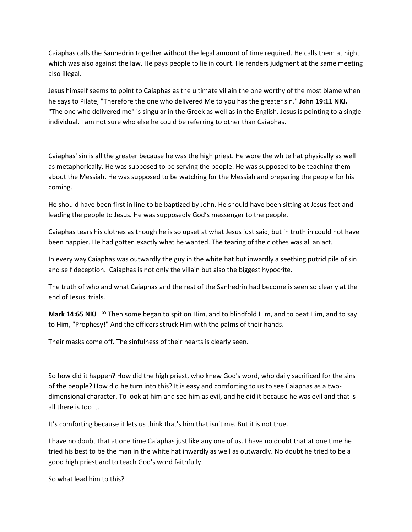Caiaphas calls the Sanhedrin together without the legal amount of time required. He calls them at night which was also against the law. He pays people to lie in court. He renders judgment at the same meeting also illegal.

Jesus himself seems to point to Caiaphas as the ultimate villain the one worthy of the most blame when he says to Pilate, "Therefore the one who delivered Me to you has the greater sin." **John 19:11 NKJ.** "The one who delivered me" is singular in the Greek as well as in the English. Jesus is pointing to a single individual. I am not sure who else he could be referring to other than Caiaphas.

Caiaphas' sin is all the greater because he was the high priest. He wore the white hat physically as well as metaphorically. He was supposed to be serving the people. He was supposed to be teaching them about the Messiah. He was supposed to be watching for the Messiah and preparing the people for his coming.

He should have been first in line to be baptized by John. He should have been sitting at Jesus feet and leading the people to Jesus. He was supposedly God's messenger to the people.

Caiaphas tears his clothes as though he is so upset at what Jesus just said, but in truth in could not have been happier. He had gotten exactly what he wanted. The tearing of the clothes was all an act.

In every way Caiaphas was outwardly the guy in the white hat but inwardly a seething putrid pile of sin and self deception. Caiaphas is not only the villain but also the biggest hypocrite.

The truth of who and what Caiaphas and the rest of the Sanhedrin had become is seen so clearly at the end of Jesus' trials.

Mark 14:65 NKJ <sup>65</sup> Then some began to spit on Him, and to blindfold Him, and to beat Him, and to say to Him, "Prophesy!" And the officers struck Him with the palms of their hands.

Their masks come off. The sinfulness of their hearts is clearly seen.

So how did it happen? How did the high priest, who knew God's word, who daily sacrificed for the sins of the people? How did he turn into this? It is easy and comforting to us to see Caiaphas as a twodimensional character. To look at him and see him as evil, and he did it because he was evil and that is all there is too it.

It's comforting because it lets us think that's him that isn't me. But it is not true.

I have no doubt that at one time Caiaphas just like any one of us. I have no doubt that at one time he tried his best to be the man in the white hat inwardly as well as outwardly. No doubt he tried to be a good high priest and to teach God's word faithfully.

So what lead him to this?